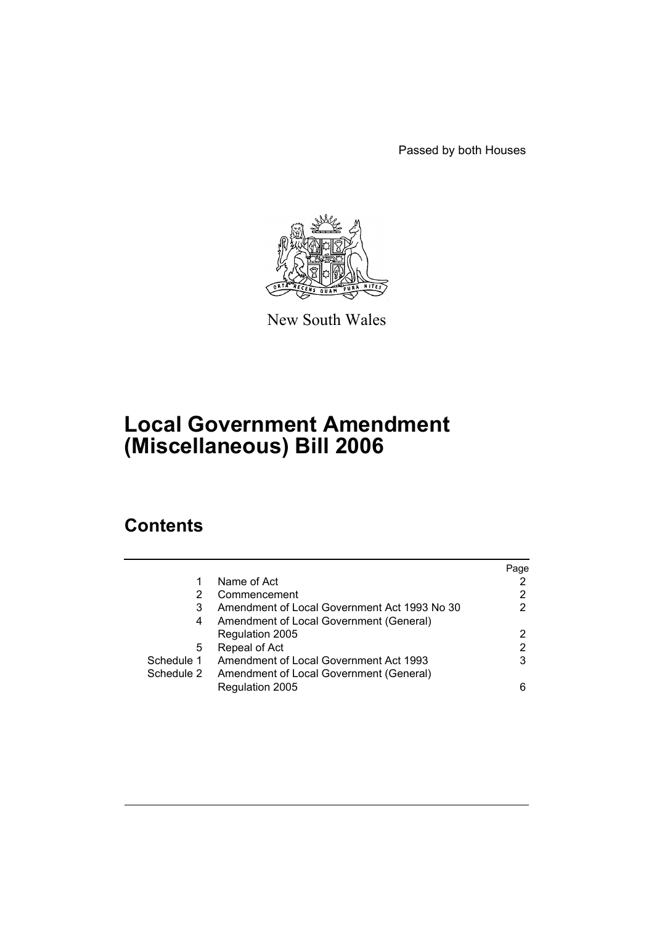Passed by both Houses



New South Wales

# **Local Government Amendment (Miscellaneous) Bill 2006**

# **Contents**

|            |                                               | Page |
|------------|-----------------------------------------------|------|
| 1          | Name of Act                                   |      |
| 2          | Commencement                                  | 2    |
| 3          | Amendment of Local Government Act 1993 No 30  | 2    |
| 4          | Amendment of Local Government (General)       |      |
|            | Regulation 2005                               | 2    |
| 5          | Repeal of Act                                 | 2    |
| Schedule 1 | <b>Amendment of Local Government Act 1993</b> | 3    |
| Schedule 2 | Amendment of Local Government (General)       |      |
|            | Regulation 2005                               | 6    |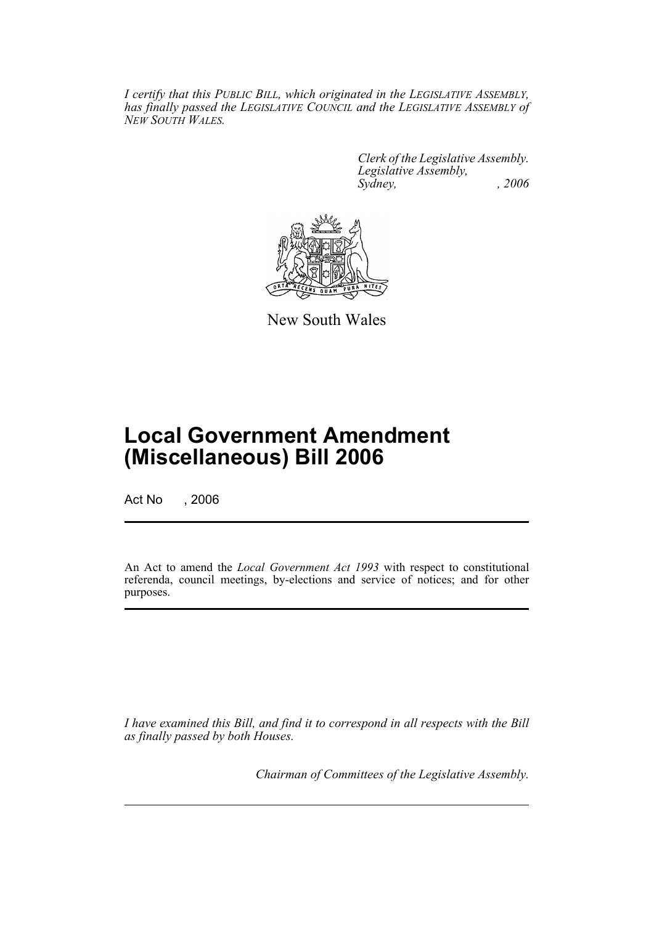*I certify that this PUBLIC BILL, which originated in the LEGISLATIVE ASSEMBLY, has finally passed the LEGISLATIVE COUNCIL and the LEGISLATIVE ASSEMBLY of NEW SOUTH WALES.*

> *Clerk of the Legislative Assembly. Legislative Assembly, Sydney, , 2006*



New South Wales

# **Local Government Amendment (Miscellaneous) Bill 2006**

Act No , 2006

An Act to amend the *Local Government Act 1993* with respect to constitutional referenda, council meetings, by-elections and service of notices; and for other purposes.

*I have examined this Bill, and find it to correspond in all respects with the Bill as finally passed by both Houses.*

*Chairman of Committees of the Legislative Assembly.*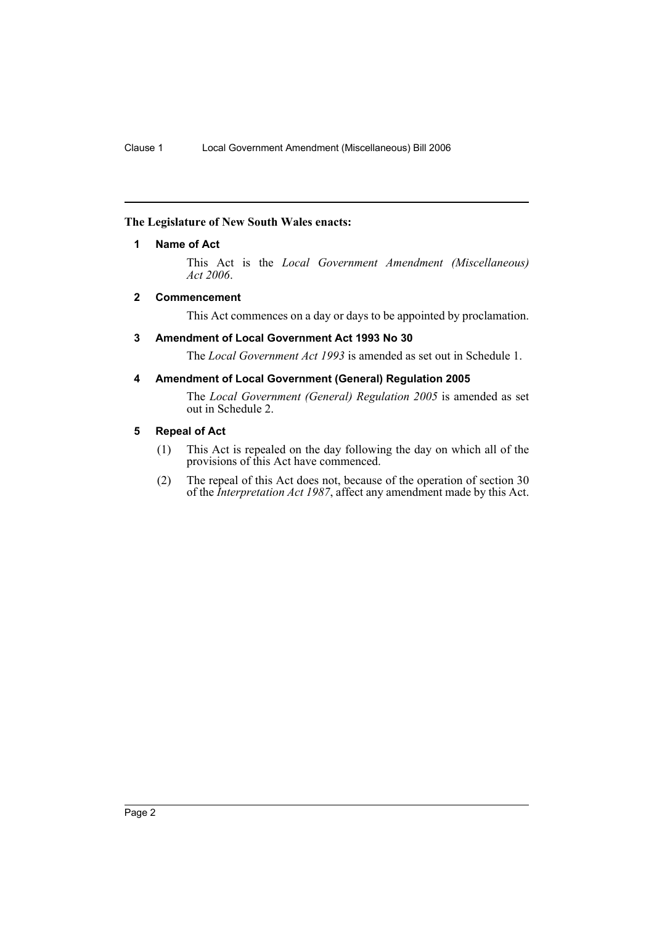# **The Legislature of New South Wales enacts:**

# **1 Name of Act**

This Act is the *Local Government Amendment (Miscellaneous) Act 2006*.

### **2 Commencement**

This Act commences on a day or days to be appointed by proclamation.

### **3 Amendment of Local Government Act 1993 No 30**

The *Local Government Act 1993* is amended as set out in Schedule 1.

#### **4 Amendment of Local Government (General) Regulation 2005**

The *Local Government (General) Regulation 2005* is amended as set out in Schedule 2.

## **5 Repeal of Act**

- (1) This Act is repealed on the day following the day on which all of the provisions of this Act have commenced.
- (2) The repeal of this Act does not, because of the operation of section 30 of the *Interpretation Act 1987*, affect any amendment made by this Act.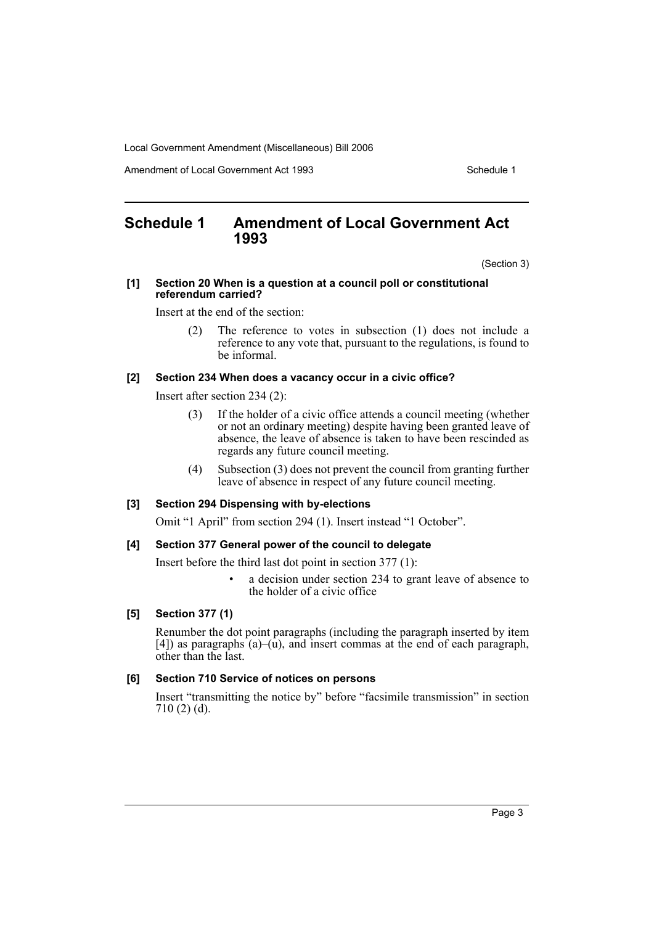Amendment of Local Government Act 1993

# **Schedule 1 Amendment of Local Government Act 1993**

(Section 3)

#### **[1] Section 20 When is a question at a council poll or constitutional referendum carried?**

Insert at the end of the section:

(2) The reference to votes in subsection (1) does not include a reference to any vote that, pursuant to the regulations, is found to be informal.

#### **[2] Section 234 When does a vacancy occur in a civic office?**

Insert after section 234 (2):

- (3) If the holder of a civic office attends a council meeting (whether or not an ordinary meeting) despite having been granted leave of absence, the leave of absence is taken to have been rescinded as regards any future council meeting.
- (4) Subsection (3) does not prevent the council from granting further leave of absence in respect of any future council meeting.

#### **[3] Section 294 Dispensing with by-elections**

Omit "1 April" from section 294 (1). Insert instead "1 October".

#### **[4] Section 377 General power of the council to delegate**

Insert before the third last dot point in section 377 (1):

a decision under section 234 to grant leave of absence to the holder of a civic office

### **[5] Section 377 (1)**

Renumber the dot point paragraphs (including the paragraph inserted by item  $[4]$ ) as paragraphs  $(a)$ – $(\hat{u})$ , and insert commas at the end of each paragraph, other than the last.

#### **[6] Section 710 Service of notices on persons**

Insert "transmitting the notice by" before "facsimile transmission" in section 710 (2) (d).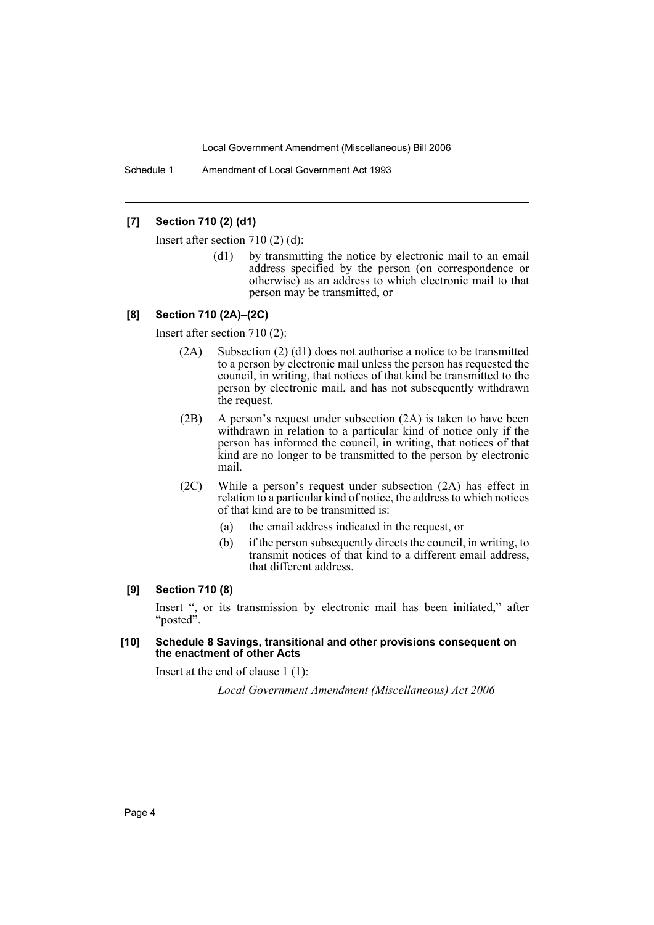Schedule 1 Amendment of Local Government Act 1993

## **[7] Section 710 (2) (d1)**

Insert after section 710 (2) (d):

(d1) by transmitting the notice by electronic mail to an email address specified by the person (on correspondence or otherwise) as an address to which electronic mail to that person may be transmitted, or

#### **[8] Section 710 (2A)–(2C)**

Insert after section 710 (2):

- (2A) Subsection (2) (d1) does not authorise a notice to be transmitted to a person by electronic mail unless the person has requested the council, in writing, that notices of that kind be transmitted to the person by electronic mail, and has not subsequently withdrawn the request.
- (2B) A person's request under subsection (2A) is taken to have been withdrawn in relation to a particular kind of notice only if the person has informed the council, in writing, that notices of that kind are no longer to be transmitted to the person by electronic mail.
- (2C) While a person's request under subsection (2A) has effect in relation to a particular kind of notice, the address to which notices of that kind are to be transmitted is:
	- (a) the email address indicated in the request, or
	- (b) if the person subsequently directs the council, in writing, to transmit notices of that kind to a different email address, that different address.

#### **[9] Section 710 (8)**

Insert ", or its transmission by electronic mail has been initiated," after "posted".

#### **[10] Schedule 8 Savings, transitional and other provisions consequent on the enactment of other Acts**

Insert at the end of clause 1 (1):

*Local Government Amendment (Miscellaneous) Act 2006*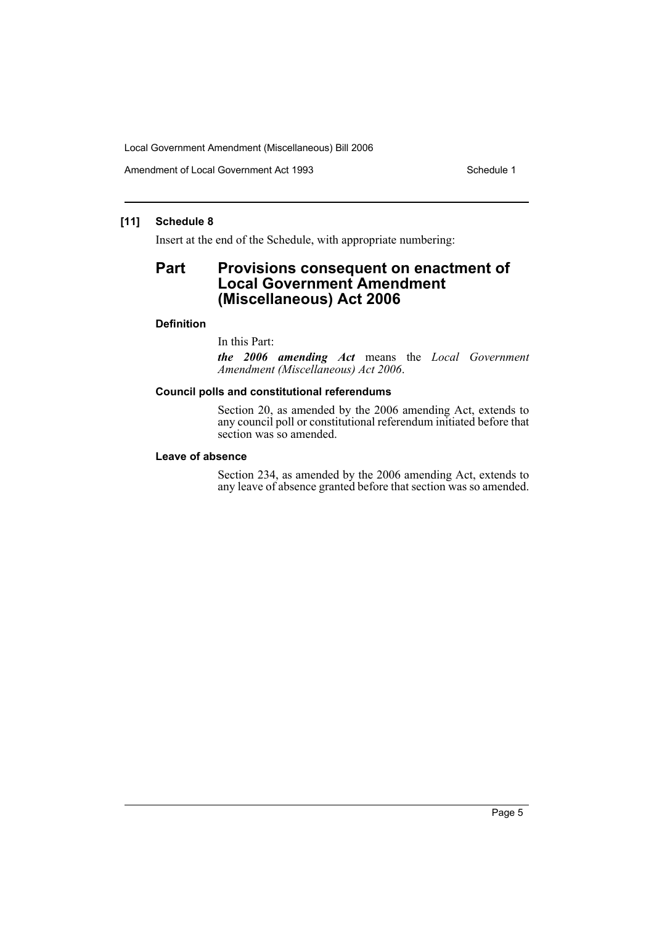Amendment of Local Government Act 1993

# **[11] Schedule 8**

Insert at the end of the Schedule, with appropriate numbering:

# **Part Provisions consequent on enactment of Local Government Amendment (Miscellaneous) Act 2006**

## **Definition**

In this Part:

*the 2006 amending Act* means the *Local Government Amendment (Miscellaneous) Act 2006*.

## **Council polls and constitutional referendums**

Section 20, as amended by the 2006 amending Act, extends to any council poll or constitutional referendum initiated before that section was so amended.

#### **Leave of absence**

Section 234, as amended by the 2006 amending Act, extends to any leave of absence granted before that section was so amended.